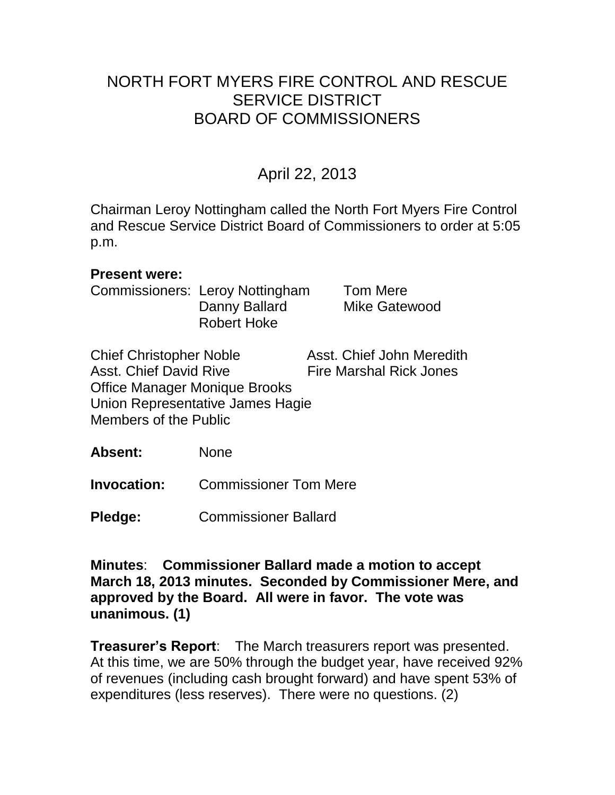# NORTH FORT MYERS FIRE CONTROL AND RESCUE SERVICE DISTRICT BOARD OF COMMISSIONERS

# April 22, 2013

Chairman Leroy Nottingham called the North Fort Myers Fire Control and Rescue Service District Board of Commissioners to order at 5:05 p.m.

#### **Present were:**

Commissioners: Leroy Nottingham Tom Mere Danny Ballard Mike Gatewood Robert Hoke

Chief Christopher Noble Asst. Chief John Meredith Asst. Chief David Rive Fire Marshal Rick Jones Office Manager Monique Brooks Union Representative James Hagie Members of the Public

**Absent:** None

**Invocation:** Commissioner Tom Mere

**Pledge:** Commissioner Ballard

**Minutes**: **Commissioner Ballard made a motion to accept March 18, 2013 minutes. Seconded by Commissioner Mere, and approved by the Board. All were in favor. The vote was unanimous. (1)** 

**Treasurer's Report**: The March treasurers report was presented. At this time, we are 50% through the budget year, have received 92% of revenues (including cash brought forward) and have spent 53% of expenditures (less reserves). There were no questions. (2)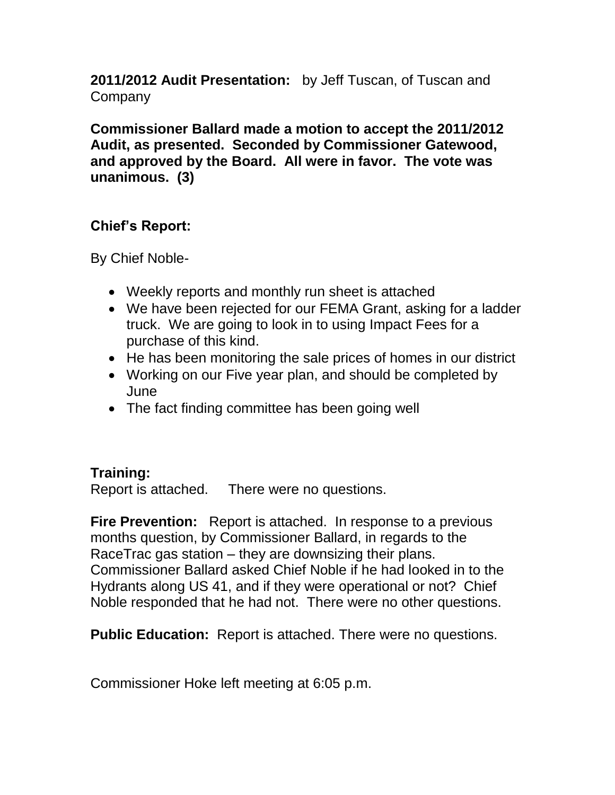**2011/2012 Audit Presentation:** by Jeff Tuscan, of Tuscan and Company

**Commissioner Ballard made a motion to accept the 2011/2012 Audit, as presented. Seconded by Commissioner Gatewood, and approved by the Board. All were in favor. The vote was unanimous. (3)**

## **Chief's Report:**

By Chief Noble-

- Weekly reports and monthly run sheet is attached
- We have been rejected for our FEMA Grant, asking for a ladder truck. We are going to look in to using Impact Fees for a purchase of this kind.
- He has been monitoring the sale prices of homes in our district
- Working on our Five year plan, and should be completed by **June**
- The fact finding committee has been going well

### **Training:**

Report is attached. There were no questions.

**Fire Prevention:** Report is attached. In response to a previous months question, by Commissioner Ballard, in regards to the RaceTrac gas station – they are downsizing their plans. Commissioner Ballard asked Chief Noble if he had looked in to the Hydrants along US 41, and if they were operational or not? Chief Noble responded that he had not. There were no other questions.

**Public Education:** Report is attached. There were no questions.

Commissioner Hoke left meeting at 6:05 p.m.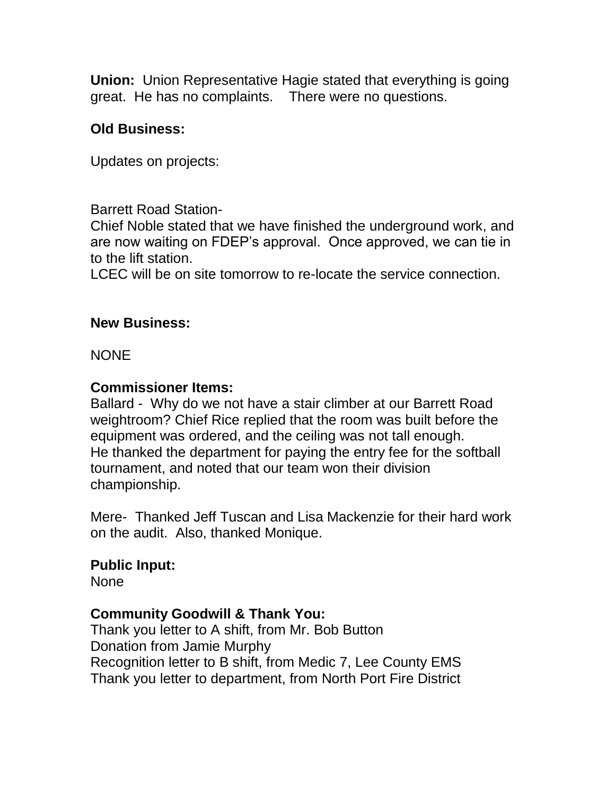**Union:** Union Representative Hagie stated that everything is going great. He has no complaints. There were no questions.

## **Old Business:**

Updates on projects:

Barrett Road Station-

Chief Noble stated that we have finished the underground work, and are now waiting on FDEP's approval. Once approved, we can tie in to the lift station.

LCEC will be on site tomorrow to re-locate the service connection.

### **New Business:**

**NONE** 

### **Commissioner Items:**

Ballard - Why do we not have a stair climber at our Barrett Road weightroom? Chief Rice replied that the room was built before the equipment was ordered, and the ceiling was not tall enough. He thanked the department for paying the entry fee for the softball tournament, and noted that our team won their division championship.

Mere- Thanked Jeff Tuscan and Lisa Mackenzie for their hard work on the audit. Also, thanked Monique.

### **Public Input:**

None

#### **Community Goodwill & Thank You:**

Thank you letter to A shift, from Mr. Bob Button Donation from Jamie Murphy Recognition letter to B shift, from Medic 7, Lee County EMS Thank you letter to department, from North Port Fire District